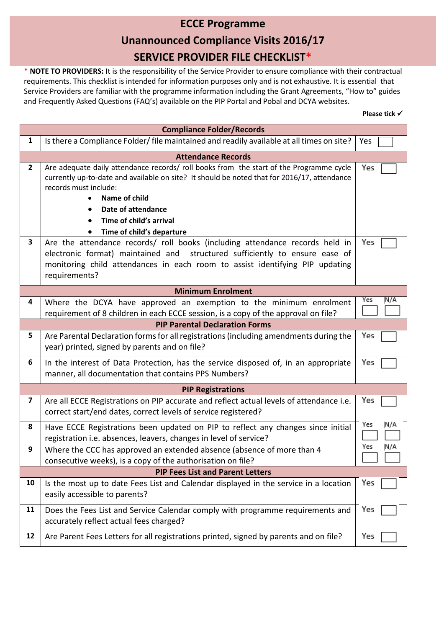## **ECCE Programme Unannounced Compliance Visits 2016/17 SERVICE PROVIDER FILE CHECKLIST\***

\* **NOTE TO PROVIDERS:** It is the responsibility of the Service Provider to ensure compliance with their contractual requirements. This checklist is intended for information purposes only and is not exhaustive. It is essential that Service Providers are familiar with the programme information including the Grant Agreements, "How to" guides and Frequently Asked Questions (FAQ's) available on the PIP Portal and Pobal and DCYA websites.

| <b>Compliance Folder/Records</b> |                                                                                                                                                                                                                                                                                                                |            |
|----------------------------------|----------------------------------------------------------------------------------------------------------------------------------------------------------------------------------------------------------------------------------------------------------------------------------------------------------------|------------|
| $\mathbf{1}$                     | Is there a Compliance Folder/ file maintained and readily available at all times on site?                                                                                                                                                                                                                      | Yes        |
|                                  | <b>Attendance Records</b>                                                                                                                                                                                                                                                                                      |            |
| $\overline{2}$                   | Are adequate daily attendance records/ roll books from the start of the Programme cycle<br>currently up-to-date and available on site? It should be noted that for 2016/17, attendance<br>records must include:<br>Name of child<br>Date of attendance<br>Time of child's arrival<br>Time of child's departure | Yes        |
| $\overline{\mathbf{3}}$          | Are the attendance records/ roll books (including attendance records held in<br>electronic format) maintained and structured sufficiently to ensure ease of<br>monitoring child attendances in each room to assist identifying PIP updating<br>requirements?                                                   | Yes        |
|                                  | <b>Minimum Enrolment</b>                                                                                                                                                                                                                                                                                       |            |
| 4                                | Where the DCYA have approved an exemption to the minimum enrolment<br>requirement of 8 children in each ECCE session, is a copy of the approval on file?                                                                                                                                                       | Yes<br>N/A |
|                                  | <b>PIP Parental Declaration Forms</b>                                                                                                                                                                                                                                                                          |            |
| 5                                | Are Parental Declaration forms for all registrations (including amendments during the<br>year) printed, signed by parents and on file?                                                                                                                                                                         | Yes        |
| 6                                | In the interest of Data Protection, has the service disposed of, in an appropriate<br>manner, all documentation that contains PPS Numbers?                                                                                                                                                                     | Yes        |
|                                  | <b>PIP Registrations</b>                                                                                                                                                                                                                                                                                       |            |
| $\overline{\mathbf{z}}$          | Are all ECCE Registrations on PIP accurate and reflect actual levels of attendance i.e.<br>correct start/end dates, correct levels of service registered?                                                                                                                                                      | Yes        |
| 8                                | Have ECCE Registrations been updated on PIP to reflect any changes since initial<br>registration i.e. absences, leavers, changes in level of service?                                                                                                                                                          | Yes<br>N/A |
| 9                                | Where the CCC has approved an extended absence (absence of more than 4<br>consecutive weeks), is a copy of the authorisation on file?                                                                                                                                                                          | Yes<br>N/A |
|                                  | <b>PIP Fees List and Parent Letters</b>                                                                                                                                                                                                                                                                        |            |
| 10                               | Is the most up to date Fees List and Calendar displayed in the service in a location<br>easily accessible to parents?                                                                                                                                                                                          | Yes        |
| 11                               | Does the Fees List and Service Calendar comply with programme requirements and<br>accurately reflect actual fees charged?                                                                                                                                                                                      | Yes        |
| 12                               | Are Parent Fees Letters for all registrations printed, signed by parents and on file?                                                                                                                                                                                                                          | Yes        |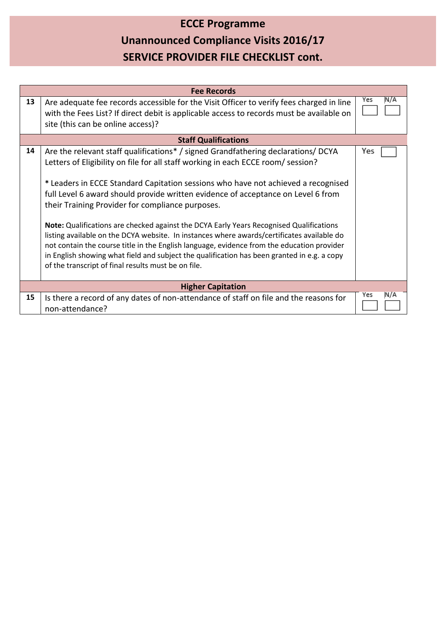# **ECCE Programme Unannounced Compliance Visits 2016/17 SERVICE PROVIDER FILE CHECKLIST cont.**

| <b>Fee Records</b> |                                                                                                                                                                                                                                                                                                                                                                                                                                                                                                                                                                                                                                                                                                                                                                                                                                                |             |  |
|--------------------|------------------------------------------------------------------------------------------------------------------------------------------------------------------------------------------------------------------------------------------------------------------------------------------------------------------------------------------------------------------------------------------------------------------------------------------------------------------------------------------------------------------------------------------------------------------------------------------------------------------------------------------------------------------------------------------------------------------------------------------------------------------------------------------------------------------------------------------------|-------------|--|
| 13                 | Are adequate fee records accessible for the Visit Officer to verify fees charged in line<br>with the Fees List? If direct debit is applicable access to records must be available on<br>site (this can be online access)?                                                                                                                                                                                                                                                                                                                                                                                                                                                                                                                                                                                                                      | Yes<br>IN/A |  |
|                    | <b>Staff Qualifications</b>                                                                                                                                                                                                                                                                                                                                                                                                                                                                                                                                                                                                                                                                                                                                                                                                                    |             |  |
| 14                 | Are the relevant staff qualifications* / signed Grandfathering declarations/ DCYA<br>Letters of Eligibility on file for all staff working in each ECCE room/session?<br>* Leaders in ECCE Standard Capitation sessions who have not achieved a recognised<br>full Level 6 award should provide written evidence of acceptance on Level 6 from<br>their Training Provider for compliance purposes.<br>Note: Qualifications are checked against the DCYA Early Years Recognised Qualifications<br>listing available on the DCYA website. In instances where awards/certificates available do<br>not contain the course title in the English language, evidence from the education provider<br>in English showing what field and subject the qualification has been granted in e.g. a copy<br>of the transcript of final results must be on file. | Yes         |  |
|                    | <b>Higher Capitation</b>                                                                                                                                                                                                                                                                                                                                                                                                                                                                                                                                                                                                                                                                                                                                                                                                                       |             |  |
| 15                 | Is there a record of any dates of non-attendance of staff on file and the reasons for<br>non-attendance?                                                                                                                                                                                                                                                                                                                                                                                                                                                                                                                                                                                                                                                                                                                                       | Yes<br>N/A  |  |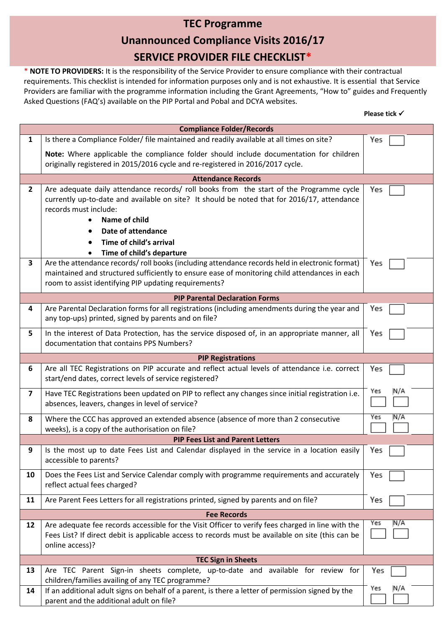## **TEC Programme Unannounced Compliance Visits 2016/17 SERVICE PROVIDER FILE CHECKLIST\***

\* **NOTE TO PROVIDERS:** It is the responsibility of the Service Provider to ensure compliance with their contractual requirements. This checklist is intended for information purposes only and is not exhaustive. It is essential that Service Providers are familiar with the programme information including the Grant Agreements, "How to" guides and Frequently Asked Questions (FAQ's) available on the PIP Portal and Pobal and DCYA websites.

| Please tick √ |  |  |
|---------------|--|--|
|---------------|--|--|

|                           | <b>Compliance Folder/Records</b>                                                                                                                                                                                                                                                                               |            |  |
|---------------------------|----------------------------------------------------------------------------------------------------------------------------------------------------------------------------------------------------------------------------------------------------------------------------------------------------------------|------------|--|
| 1                         | Is there a Compliance Folder/ file maintained and readily available at all times on site?                                                                                                                                                                                                                      | Yes        |  |
|                           | Note: Where applicable the compliance folder should include documentation for children<br>originally registered in 2015/2016 cycle and re-registered in 2016/2017 cycle.                                                                                                                                       |            |  |
|                           | <b>Attendance Records</b>                                                                                                                                                                                                                                                                                      |            |  |
| $\mathbf{2}$              | Are adequate daily attendance records/ roll books from the start of the Programme cycle<br>currently up-to-date and available on site? It should be noted that for 2016/17, attendance<br>records must include:<br>Name of child<br>Date of attendance<br>Time of child's arrival<br>Time of child's departure | Yes        |  |
| 3                         | Are the attendance records/roll books (including attendance records held in electronic format)<br>maintained and structured sufficiently to ensure ease of monitoring child attendances in each<br>room to assist identifying PIP updating requirements?                                                       | Yes        |  |
|                           | <b>PIP Parental Declaration Forms</b>                                                                                                                                                                                                                                                                          |            |  |
| 4                         | Are Parental Declaration forms for all registrations (including amendments during the year and<br>any top-ups) printed, signed by parents and on file?                                                                                                                                                         | Yes        |  |
| 5                         | In the interest of Data Protection, has the service disposed of, in an appropriate manner, all<br>documentation that contains PPS Numbers?                                                                                                                                                                     | Yes        |  |
|                           | <b>PIP Registrations</b>                                                                                                                                                                                                                                                                                       |            |  |
| 6                         | Are all TEC Registrations on PIP accurate and reflect actual levels of attendance i.e. correct<br>start/end dates, correct levels of service registered?                                                                                                                                                       | Yes        |  |
| $\overline{\mathbf{z}}$   | Have TEC Registrations been updated on PIP to reflect any changes since initial registration i.e.<br>absences, leavers, changes in level of service?                                                                                                                                                           | Yes<br>N/A |  |
| 8                         | Where the CCC has approved an extended absence (absence of more than 2 consecutive<br>weeks), is a copy of the authorisation on file?                                                                                                                                                                          | Yes<br>N/A |  |
|                           | <b>PIP Fees List and Parent Letters</b>                                                                                                                                                                                                                                                                        |            |  |
| 9                         | Is the most up to date Fees List and Calendar displayed in the service in a location easily<br>accessible to parents?                                                                                                                                                                                          | Yes        |  |
| 10                        | Does the Fees List and Service Calendar comply with programme requirements and accurately<br>reflect actual fees charged?                                                                                                                                                                                      | Yes        |  |
| 11                        | Are Parent Fees Letters for all registrations printed, signed by parents and on file?                                                                                                                                                                                                                          | Yes        |  |
|                           | <b>Fee Records</b>                                                                                                                                                                                                                                                                                             |            |  |
| 12                        | Are adequate fee records accessible for the Visit Officer to verify fees charged in line with the<br>Fees List? If direct debit is applicable access to records must be available on site (this can be<br>online access)?                                                                                      | Yes<br>N/A |  |
| <b>TEC Sign in Sheets</b> |                                                                                                                                                                                                                                                                                                                |            |  |
| 13                        | Are TEC Parent Sign-in sheets complete, up-to-date and available for review for<br>children/families availing of any TEC programme?                                                                                                                                                                            | Yes<br>Yes |  |
| 14                        | If an additional adult signs on behalf of a parent, is there a letter of permission signed by the<br>parent and the additional adult on file?                                                                                                                                                                  | N/A        |  |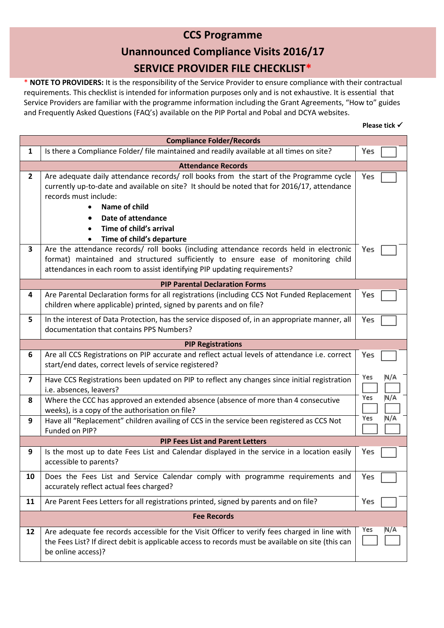### **CCS Programme Unannounced Compliance Visits 2016/17 SERVICE PROVIDER FILE CHECKLIST\***

\* **NOTE TO PROVIDERS:** It is the responsibility of the Service Provider to ensure compliance with their contractual requirements. This checklist is intended for information purposes only and is not exhaustive. It is essential that Service Providers are familiar with the programme information including the Grant Agreements, "How to" guides and Frequently Asked Questions (FAQ's) available on the PIP Portal and Pobal and DCYA websites.

| <b>Compliance Folder/Records</b> |                                                                                                                                                                                                                                                                                                                |            |  |
|----------------------------------|----------------------------------------------------------------------------------------------------------------------------------------------------------------------------------------------------------------------------------------------------------------------------------------------------------------|------------|--|
| $\mathbf{1}$                     | Is there a Compliance Folder/ file maintained and readily available at all times on site?                                                                                                                                                                                                                      | Yes        |  |
|                                  | <b>Attendance Records</b>                                                                                                                                                                                                                                                                                      |            |  |
| $\overline{2}$                   | Are adequate daily attendance records/ roll books from the start of the Programme cycle<br>currently up-to-date and available on site? It should be noted that for 2016/17, attendance<br>records must include:<br>Name of child<br>Date of attendance<br>Time of child's arrival<br>Time of child's departure | Yes        |  |
| $\overline{\mathbf{3}}$          | Are the attendance records/ roll books (including attendance records held in electronic                                                                                                                                                                                                                        | Yes        |  |
|                                  | format) maintained and structured sufficiently to ensure ease of monitoring child                                                                                                                                                                                                                              |            |  |
|                                  | attendances in each room to assist identifying PIP updating requirements?                                                                                                                                                                                                                                      |            |  |
|                                  | <b>PIP Parental Declaration Forms</b>                                                                                                                                                                                                                                                                          |            |  |
| 4                                | Are Parental Declaration forms for all registrations (including CCS Not Funded Replacement                                                                                                                                                                                                                     | Yes        |  |
|                                  | children where applicable) printed, signed by parents and on file?                                                                                                                                                                                                                                             |            |  |
| 5                                | In the interest of Data Protection, has the service disposed of, in an appropriate manner, all<br>documentation that contains PPS Numbers?                                                                                                                                                                     | Yes        |  |
|                                  | <b>PIP Registrations</b>                                                                                                                                                                                                                                                                                       |            |  |
| 6                                | Are all CCS Registrations on PIP accurate and reflect actual levels of attendance i.e. correct<br>start/end dates, correct levels of service registered?                                                                                                                                                       | Yes        |  |
| 7                                | Have CCS Registrations been updated on PIP to reflect any changes since initial registration                                                                                                                                                                                                                   | Yes<br>N/A |  |
|                                  | i.e. absences, leavers?                                                                                                                                                                                                                                                                                        |            |  |
| 8                                | Where the CCC has approved an extended absence (absence of more than 4 consecutive                                                                                                                                                                                                                             | N/A<br>Yes |  |
|                                  | weeks), is a copy of the authorisation on file?                                                                                                                                                                                                                                                                |            |  |
| 9                                | Have all "Replacement" children availing of CCS in the service been registered as CCS Not                                                                                                                                                                                                                      | N/A<br>Yes |  |
|                                  | Funded on PIP?                                                                                                                                                                                                                                                                                                 |            |  |
|                                  | <b>PIP Fees List and Parent Letters</b>                                                                                                                                                                                                                                                                        |            |  |
| 9                                | Is the most up to date Fees List and Calendar displayed in the service in a location easily                                                                                                                                                                                                                    | Yes        |  |
|                                  | accessible to parents?                                                                                                                                                                                                                                                                                         |            |  |
| 10                               | Does the Fees List and Service Calendar comply with programme requirements and                                                                                                                                                                                                                                 | Yes        |  |
|                                  | accurately reflect actual fees charged?                                                                                                                                                                                                                                                                        |            |  |
| 11                               | Are Parent Fees Letters for all registrations printed, signed by parents and on file?                                                                                                                                                                                                                          | Yes        |  |
|                                  | <b>Fee Records</b>                                                                                                                                                                                                                                                                                             |            |  |
| 12                               | Are adequate fee records accessible for the Visit Officer to verify fees charged in line with                                                                                                                                                                                                                  | Yes<br>N/A |  |
|                                  | the Fees List? If direct debit is applicable access to records must be available on site (this can<br>be online access)?                                                                                                                                                                                       |            |  |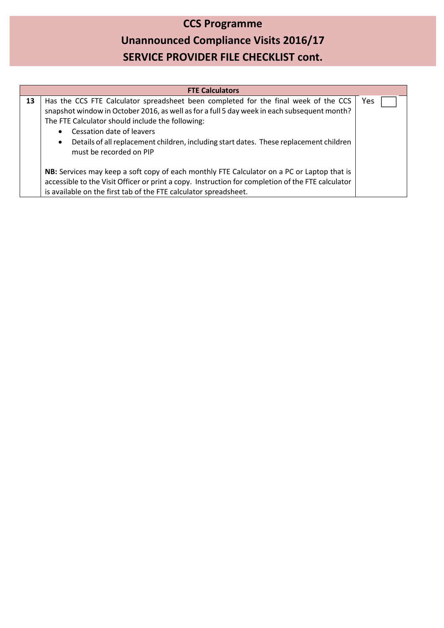# **CCS Programme Unannounced Compliance Visits 2016/17 SERVICE PROVIDER FILE CHECKLIST cont.**

| <b>FTE Calculators</b> |                                                                                                                                                                                                                                                                                                                                                                                                                    |     |
|------------------------|--------------------------------------------------------------------------------------------------------------------------------------------------------------------------------------------------------------------------------------------------------------------------------------------------------------------------------------------------------------------------------------------------------------------|-----|
| 13                     | Has the CCS FTE Calculator spreadsheet been completed for the final week of the CCS<br>snapshot window in October 2016, as well as for a full 5 day week in each subsequent month?<br>The FTE Calculator should include the following:<br>Cessation date of leavers<br>$\bullet$<br>Details of all replacement children, including start dates. These replacement children<br>$\bullet$<br>must be recorded on PIP | Yes |
|                        | NB: Services may keep a soft copy of each monthly FTE Calculator on a PC or Laptop that is<br>accessible to the Visit Officer or print a copy. Instruction for completion of the FTE calculator<br>is available on the first tab of the FTE calculator spreadsheet.                                                                                                                                                |     |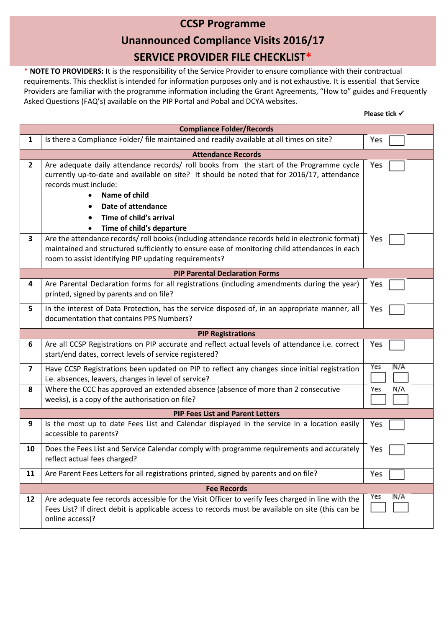## **CCSP Programme Unannounced Compliance Visits 2016/17 SERVICE PROVIDER FILE CHECKLIST\***

\* **NOTE TO PROVIDERS:** It is the responsibility of the Service Provider to ensure compliance with their contractual requirements. This checklist is intended for information purposes only and is not exhaustive. It is essential that Service Providers are familiar with the programme information including the Grant Agreements, "How to" guides and Frequently Asked Questions (FAQ's) available on the PIP Portal and Pobal and DCYA websites.

| <b>Compliance Folder/Records</b> |                                                                                                                                                                                                                                                                                                                |            |
|----------------------------------|----------------------------------------------------------------------------------------------------------------------------------------------------------------------------------------------------------------------------------------------------------------------------------------------------------------|------------|
| $\mathbf{1}$                     | Is there a Compliance Folder/ file maintained and readily available at all times on site?                                                                                                                                                                                                                      | Yes        |
|                                  | <b>Attendance Records</b>                                                                                                                                                                                                                                                                                      |            |
| $\mathbf{2}$                     | Are adequate daily attendance records/ roll books from the start of the Programme cycle<br>currently up-to-date and available on site? It should be noted that for 2016/17, attendance<br>records must include:<br>Name of child<br>Date of attendance<br>Time of child's arrival<br>Time of child's departure | Yes        |
| 3                                | Are the attendance records/roll books (including attendance records held in electronic format)<br>maintained and structured sufficiently to ensure ease of monitoring child attendances in each<br>room to assist identifying PIP updating requirements?                                                       | Yes        |
|                                  | <b>PIP Parental Declaration Forms</b>                                                                                                                                                                                                                                                                          |            |
| 4                                | Are Parental Declaration forms for all registrations (including amendments during the year)<br>printed, signed by parents and on file?                                                                                                                                                                         | Yes        |
| 5                                | In the interest of Data Protection, has the service disposed of, in an appropriate manner, all<br>documentation that contains PPS Numbers?                                                                                                                                                                     | Yes        |
|                                  | <b>PIP Registrations</b>                                                                                                                                                                                                                                                                                       |            |
| 6                                | Are all CCSP Registrations on PIP accurate and reflect actual levels of attendance i.e. correct<br>start/end dates, correct levels of service registered?                                                                                                                                                      | Yes        |
| $\overline{\mathbf{z}}$          | Have CCSP Registrations been updated on PIP to reflect any changes since initial registration<br>i.e. absences, leavers, changes in level of service?                                                                                                                                                          | Yes<br>N/A |
| 8                                | Where the CCC has approved an extended absence (absence of more than 2 consecutive<br>weeks), is a copy of the authorisation on file?                                                                                                                                                                          | N/A<br>Yes |
|                                  | <b>PIP Fees List and Parent Letters</b>                                                                                                                                                                                                                                                                        |            |
| 9                                | Is the most up to date Fees List and Calendar displayed in the service in a location easily<br>accessible to parents?                                                                                                                                                                                          | Yes        |
| 10                               | Does the Fees List and Service Calendar comply with programme requirements and accurately<br>reflect actual fees charged?                                                                                                                                                                                      | Yes        |
| 11                               | Are Parent Fees Letters for all registrations printed, signed by parents and on file?                                                                                                                                                                                                                          | Yes        |
|                                  | <b>Fee Records</b>                                                                                                                                                                                                                                                                                             |            |
| 12                               | Are adequate fee records accessible for the Visit Officer to verify fees charged in line with the<br>Fees List? If direct debit is applicable access to records must be available on site (this can be<br>online access)?                                                                                      | Yes<br>N/A |